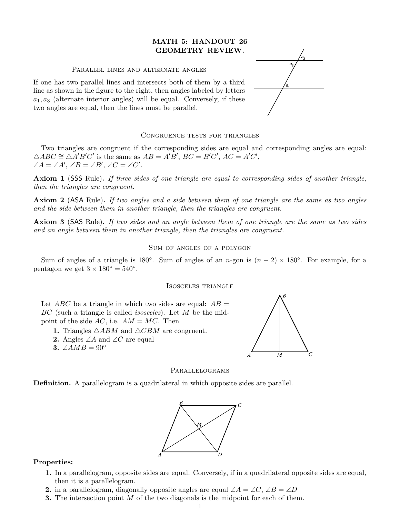# **MATH 5: HANDOUT 26 GEOMETRY REVIEW.**

## Parallel lines and alternate angles

If one has two parallel lines and intersects both of them by a third line as shown in the figure to the right, then angles labeled by letters  $a_1, a_3$  (alternate interior angles) will be equal. Conversely, if these two angles are equal, then the lines must be parallel.

### CONGRUENCE TESTS FOR TRIANGLES

Two triangles are congruent if the corresponding sides are equal and corresponding angles are equal:  $\triangle ABC \cong \triangle A'B'C'$  is the same as  $AB = A'B'$ ,  $BC = B'C'$ ,  $AC = A'C'$ ,  $\angle A = \angle A', \angle B = \angle B', \angle C = \angle C'.$ 

Axiom 1 (SSS Rule). If three sides of one triangle are equal to corresponding sides of another triangle, *then the triangles are congruent.*  $\mu$  and the continuation of side  $\mu$  in a triangle such  $\mu$ .

**Axiom 2** (ASA Rule). If two angles and a side between them of one triangle are the same as two angles and the side between them in another triangle, then the triangles are congruent.

**Axiom 3** (SAS Rule). If two sides and an angle between them of one triangle are the same as two sides *and an angle between them in another triangle, then the triangles are congruent.*  $\mathbf{A} \mathbf{x}$ ioin (a) are angle secared mem in answer or angle, men in the 11

## SUM OF ANGLES OF A POLYGON  $\sqrt{N}$  or mome of n or

Sum of angles of a triangle is 180<sup>°</sup>. Sum of angles of an *n*-gon is  $(n-2) \times 180^\circ$ . For example, for a pentagon we get  $3 \times 180^\circ = 540^\circ$ .

#### Isosceles triangle

Let  $ABC$  be a triangle in which two sides are equal:  $AB =$  $BC$  (such a triangle is called *isosceles*). Let  $M$  be the midpoint of the side  $AC$ , i.e.  $AM = MC$ . Then

- **1.** Triangles  $\triangle ABM$  and  $\triangle CBM$  are congruent.
- **2.** Angles ∠A and ∠C are equal
- **3.** ∠AMB =  $90°$



# PARALLELOGRAMS

**Definition.** A parallelogram is a quad **Definition.** A parallelogram is a quadrilateral in which opposite sides are parallel.



# Properties:

- **1.** In a parallelogram, opposite sides are equal. Conversely, if in a quadrilateral opposite sides are equal, then it is a parallelogram.
- **2.** in a parallelogram, diagonally opposite angles are equal  $\angle A = \angle C$ ,  $\angle B = \angle D$
- **3.** The intersection point *M* of the two diagonals is the midpoint for each of them.